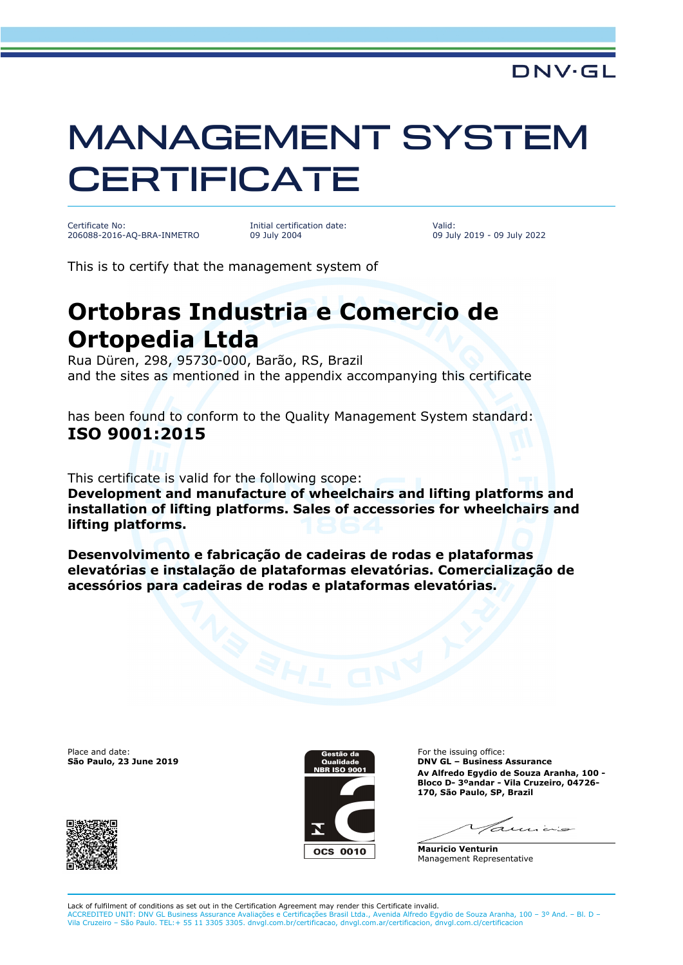## MANAGEMENT SYSTEM **CERTIFICATE**

Certificate No: 206088-2016-AQ-BRA-INMETRO Initial certification date: 09 July 2004

Valid: 09 July 2019 - 09 July 2022

This is to certify that the management system of

## **Ortobras Industria e Comercio de Ortopedia Ltda**

Rua Düren, 298, 95730-000, Barão, RS, Brazil and the sites as mentioned in the appendix accompanying this certificate

has been found to conform to the Quality Management System standard: **ISO 9001:2015**

This certificate is valid for the following scope:

**Development and manufacture of wheelchairs and lifting platforms and installation of lifting platforms. Sales of accessories for wheelchairs and lifting platforms.** 

**Desenvolvimento e fabricação de cadeiras de rodas e plataformas elevatórias e instalação de plataformas elevatórias. Comercialização de acessórios para cadeiras de rodas e plataformas elevatórias.**

Place and date:



For the issuing office: **São Paulo, 23 June 2019 DNV GL – Business Assurance Av Alfredo Egydio de Souza Aranha, 100 - Bloco D- 3ºandar - Vila Cruzeiro, 04726- 170, São Paulo, SP, Brazil**

 $7.1111222$ 

**Mauricio Venturin** Management Representative

Lack of fulfilment of conditions as set out in the Certification Agreement may render this Certificate invalid. ACCREDITED UNIT: DNV GL Business Assurance Avaliações e Certificações Brasil Ltda., Avenida Alfredo Egydio de Souza Aranha, 100 – 3º And. – Bl. D – Vila Cruzeiro – São Paulo. TEL:+ 55 11 3305 3305. dnvgl.com.br/certificacao, dnvgl.com.ar/certificacion, dnvgl.com.cl/certificacion